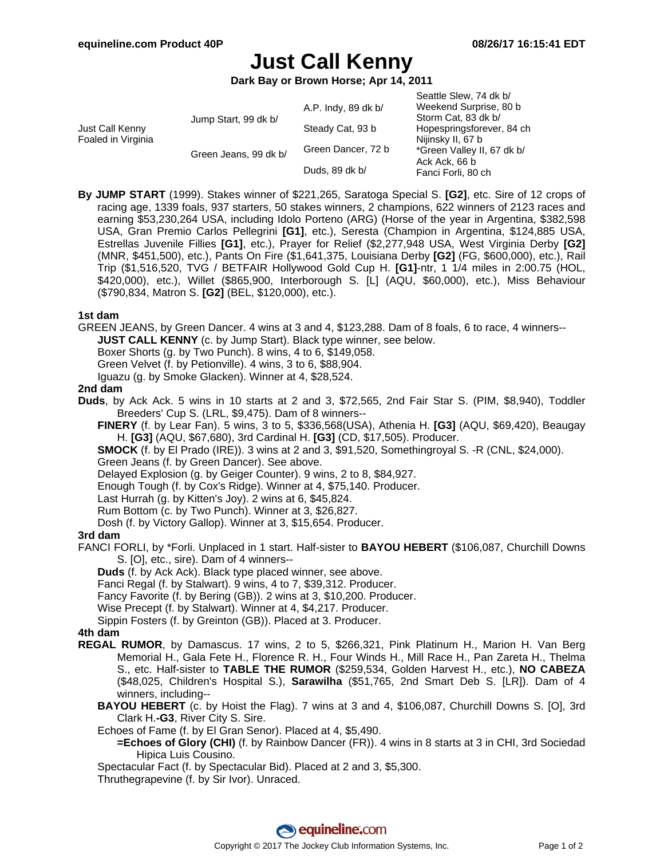# **Just Call Kenny**

**Dark Bay or Brown Horse; Apr 14, 2011**

| Just Call Kenny<br>Foaled in Virginia | Jump Start, 99 dk b/  | A.P. Indy, 89 dk b/ | Seattle Slew, 74 dk b/<br>Weekend Surprise, 80 b<br>Storm Cat, 83 dk b/<br>Hopespringsforever, 84 ch<br>Nijinsky II, 67 b<br>*Green Valley II, 67 dk b/<br>Ack Ack, 66 b<br>Fanci Forli, 80 ch |
|---------------------------------------|-----------------------|---------------------|------------------------------------------------------------------------------------------------------------------------------------------------------------------------------------------------|
|                                       |                       | Steady Cat, 93 b    |                                                                                                                                                                                                |
|                                       | Green Jeans, 99 dk b/ | Green Dancer, 72 b  |                                                                                                                                                                                                |
|                                       |                       | Duds, 89 dk b/      |                                                                                                                                                                                                |

**By JUMP START** (1999). Stakes winner of \$221,265, Saratoga Special S. **[G2]**, etc. Sire of 12 crops of racing age, 1339 foals, 937 starters, 50 stakes winners, 2 champions, 622 winners of 2123 races and earning \$53,230,264 USA, including Idolo Porteno (ARG) (Horse of the year in Argentina, \$382,598 USA, Gran Premio Carlos Pellegrini **[G1]**, etc.), Seresta (Champion in Argentina, \$124,885 USA, Estrellas Juvenile Fillies **[G1]**, etc.), Prayer for Relief (\$2,277,948 USA, West Virginia Derby **[G2]** (MNR, \$451,500), etc.), Pants On Fire (\$1,641,375, Louisiana Derby **[G2]** (FG, \$600,000), etc.), Rail Trip (\$1,516,520, TVG / BETFAIR Hollywood Gold Cup H. **[G1]**-ntr, 1 1/4 miles in 2:00.75 (HOL, \$420,000), etc.), Willet (\$865,900, Interborough S. [L] (AQU, \$60,000), etc.), Miss Behaviour (\$790,834, Matron S. **[G2]** (BEL, \$120,000), etc.).

#### **1st dam**

GREEN JEANS, by Green Dancer. 4 wins at 3 and 4, \$123,288. Dam of 8 foals, 6 to race, 4 winners-- **JUST CALL KENNY** (c. by Jump Start). Black type winner, see below.

Boxer Shorts (g. by Two Punch). 8 wins, 4 to 6, \$149,058.

Green Velvet (f. by Petionville). 4 wins, 3 to 6, \$88,904.

Iguazu (g. by Smoke Glacken). Winner at 4, \$28,524.

#### **2nd dam**

**Duds**, by Ack Ack. 5 wins in 10 starts at 2 and 3, \$72,565, 2nd Fair Star S. (PIM, \$8,940), Toddler Breeders' Cup S. (LRL, \$9,475). Dam of 8 winners--

**FINERY** (f. by Lear Fan). 5 wins, 3 to 5, \$336,568(USA), Athenia H. **[G3]** (AQU, \$69,420), Beaugay H. **[G3]** (AQU, \$67,680), 3rd Cardinal H. **[G3]** (CD, \$17,505). Producer.

**SMOCK** (f. by El Prado (IRE)). 3 wins at 2 and 3, \$91,520, Somethingroyal S. -R (CNL, \$24,000).

Green Jeans (f. by Green Dancer). See above.

Delayed Explosion (g. by Geiger Counter). 9 wins, 2 to 8, \$84,927.

Enough Tough (f. by Cox's Ridge). Winner at 4, \$75,140. Producer.

Last Hurrah (g. by Kitten's Joy). 2 wins at 6, \$45,824.

Rum Bottom (c. by Two Punch). Winner at 3, \$26,827.

Dosh (f. by Victory Gallop). Winner at 3, \$15,654. Producer.

#### **3rd dam**

FANCI FORLI, by \*Forli. Unplaced in 1 start. Half-sister to **BAYOU HEBERT** (\$106,087, Churchill Downs S. [O], etc., sire). Dam of 4 winners--

**Duds** (f. by Ack Ack). Black type placed winner, see above.

Fanci Regal (f. by Stalwart). 9 wins, 4 to 7, \$39,312. Producer.

Fancy Favorite (f. by Bering (GB)). 2 wins at 3, \$10,200. Producer.

Wise Precept (f. by Stalwart). Winner at 4, \$4,217. Producer.

Sippin Fosters (f. by Greinton (GB)). Placed at 3. Producer.

## **4th dam**

- **REGAL RUMOR**, by Damascus. 17 wins, 2 to 5, \$266,321, Pink Platinum H., Marion H. Van Berg Memorial H., Gala Fete H., Florence R. H., Four Winds H., Mill Race H., Pan Zareta H., Thelma S., etc. Half-sister to **TABLE THE RUMOR** (\$259,534, Golden Harvest H., etc.), **NO CABEZA** (\$48,025, Children's Hospital S.), **Sarawilha** (\$51,765, 2nd Smart Deb S. [LR]). Dam of 4 winners, including--
	- **BAYOU HEBERT** (c. by Hoist the Flag). 7 wins at 3 and 4, \$106,087, Churchill Downs S. [O], 3rd Clark H.**-G3**, River City S. Sire.

Echoes of Fame (f. by El Gran Senor). Placed at 4, \$5,490.

**=Echoes of Glory (CHI)** (f. by Rainbow Dancer (FR)). 4 wins in 8 starts at 3 in CHI, 3rd Sociedad Hipica Luis Cousino.

Spectacular Fact (f. by Spectacular Bid). Placed at 2 and 3, \$5,300.

Thruthegrapevine (f. by Sir Ivor). Unraced.